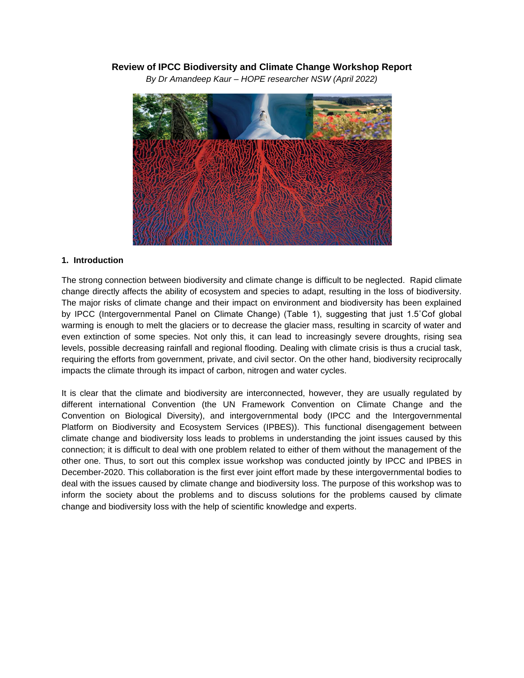# **Review of IPCC Biodiversity and Climate Change Workshop Report**

*By Dr Amandeep Kaur – HOPE researcher NSW (April 2022)*



### **1. Introduction**

The strong connection between biodiversity and climate change is difficult to be neglected. Rapid climate change directly affects the ability of ecosystem and species to adapt, resulting in the loss of biodiversity. The major risks of climate change and their impact on environment and biodiversity has been explained by IPCC (Intergovernmental Panel on Climate Change) (Table 1), suggesting that just 1.5˚Cof global warming is enough to melt the glaciers or to decrease the glacier mass, resulting in scarcity of water and even extinction of some species. Not only this, it can lead to increasingly severe droughts, rising sea levels, possible decreasing rainfall and regional flooding. Dealing with climate crisis is thus a crucial task, requiring the efforts from government, private, and civil sector. On the other hand, biodiversity reciprocally impacts the climate through its impact of carbon, nitrogen and water cycles.

It is clear that the climate and biodiversity are interconnected, however, they are usually regulated by different international Convention (the UN Framework Convention on Climate Change and the Convention on Biological Diversity), and intergovernmental body (IPCC and the Intergovernmental Platform on Biodiversity and Ecosystem Services (IPBES)). This functional disengagement between climate change and biodiversity loss leads to problems in understanding the joint issues caused by this connection; it is difficult to deal with one problem related to either of them without the management of the other one. Thus, to sort out this complex issue workshop was conducted jointly by IPCC and IPBES in December-2020. This collaboration is the first ever joint effort made by these intergovernmental bodies to deal with the issues caused by climate change and biodiversity loss. The purpose of this workshop was to inform the society about the problems and to discuss solutions for the problems caused by climate change and biodiversity loss with the help of scientific knowledge and experts.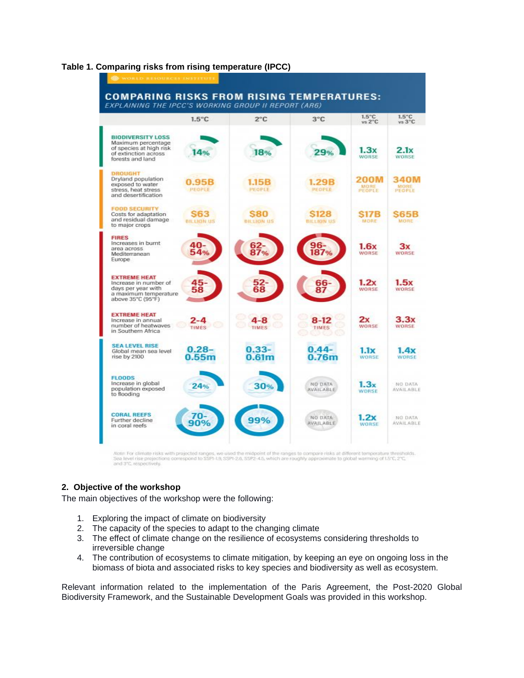#### **Table 1. Comparing risks from rising temperature (IPCC)**



Sea level rise projectively.

# **2. Objective of the workshop**

The main objectives of the workshop were the following:

- 1. Exploring the impact of climate on biodiversity
- 2. The capacity of the species to adapt to the changing climate
- 3. The effect of climate change on the resilience of ecosystems considering thresholds to irreversible change
- 4. The contribution of ecosystems to climate mitigation, by keeping an eye on ongoing loss in the biomass of biota and associated risks to key species and biodiversity as well as ecosystem.

Relevant information related to the implementation of the Paris Agreement, the Post-2020 Global Biodiversity Framework, and the Sustainable Development Goals was provided in this workshop.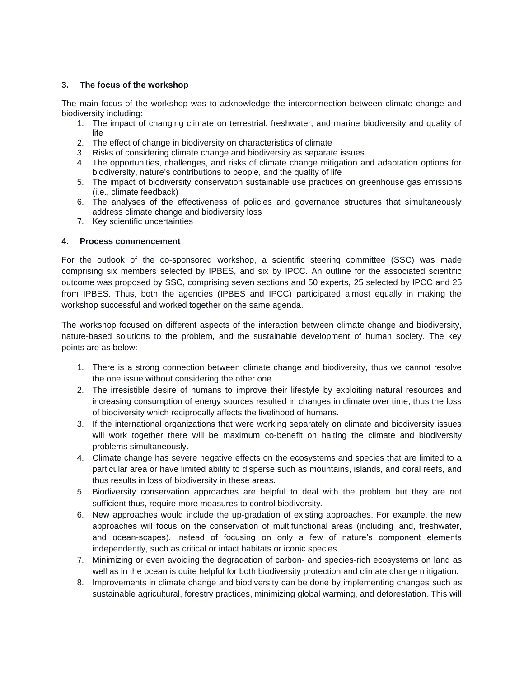### **3. The focus of the workshop**

The main focus of the workshop was to acknowledge the interconnection between climate change and biodiversity including:

- 1. The impact of changing climate on terrestrial, freshwater, and marine biodiversity and quality of life
- 2. The effect of change in biodiversity on characteristics of climate
- 3. Risks of considering climate change and biodiversity as separate issues
- 4. The opportunities, challenges, and risks of climate change mitigation and adaptation options for biodiversity, nature's contributions to people, and the quality of life
- 5. The impact of biodiversity conservation sustainable use practices on greenhouse gas emissions (i.e., climate feedback)
- 6. The analyses of the effectiveness of policies and governance structures that simultaneously address climate change and biodiversity loss
- 7. Key scientific uncertainties

### **4. Process commencement**

For the outlook of the co-sponsored workshop, a scientific steering committee (SSC) was made comprising six members selected by IPBES, and six by IPCC. An outline for the associated scientific outcome was proposed by SSC, comprising seven sections and 50 experts, 25 selected by IPCC and 25 from IPBES. Thus, both the agencies (IPBES and IPCC) participated almost equally in making the workshop successful and worked together on the same agenda.

The workshop focused on different aspects of the interaction between climate change and biodiversity, nature-based solutions to the problem, and the sustainable development of human society. The key points are as below:

- 1. There is a strong connection between climate change and biodiversity, thus we cannot resolve the one issue without considering the other one.
- 2. The irresistible desire of humans to improve their lifestyle by exploiting natural resources and increasing consumption of energy sources resulted in changes in climate over time, thus the loss of biodiversity which reciprocally affects the livelihood of humans.
- 3. If the international organizations that were working separately on climate and biodiversity issues will work together there will be maximum co-benefit on halting the climate and biodiversity problems simultaneously.
- 4. Climate change has severe negative effects on the ecosystems and species that are limited to a particular area or have limited ability to disperse such as mountains, islands, and coral reefs, and thus results in loss of biodiversity in these areas.
- 5. Biodiversity conservation approaches are helpful to deal with the problem but they are not sufficient thus, require more measures to control biodiversity.
- 6. New approaches would include the up-gradation of existing approaches. For example, the new approaches will focus on the conservation of multifunctional areas (including land, freshwater, and ocean-scapes), instead of focusing on only a few of nature's component elements independently, such as critical or intact habitats or iconic species.
- 7. Minimizing or even avoiding the degradation of carbon- and species-rich ecosystems on land as well as in the ocean is quite helpful for both biodiversity protection and climate change mitigation.
- 8. Improvements in climate change and biodiversity can be done by implementing changes such as sustainable agricultural, forestry practices, minimizing global warming, and deforestation. This will